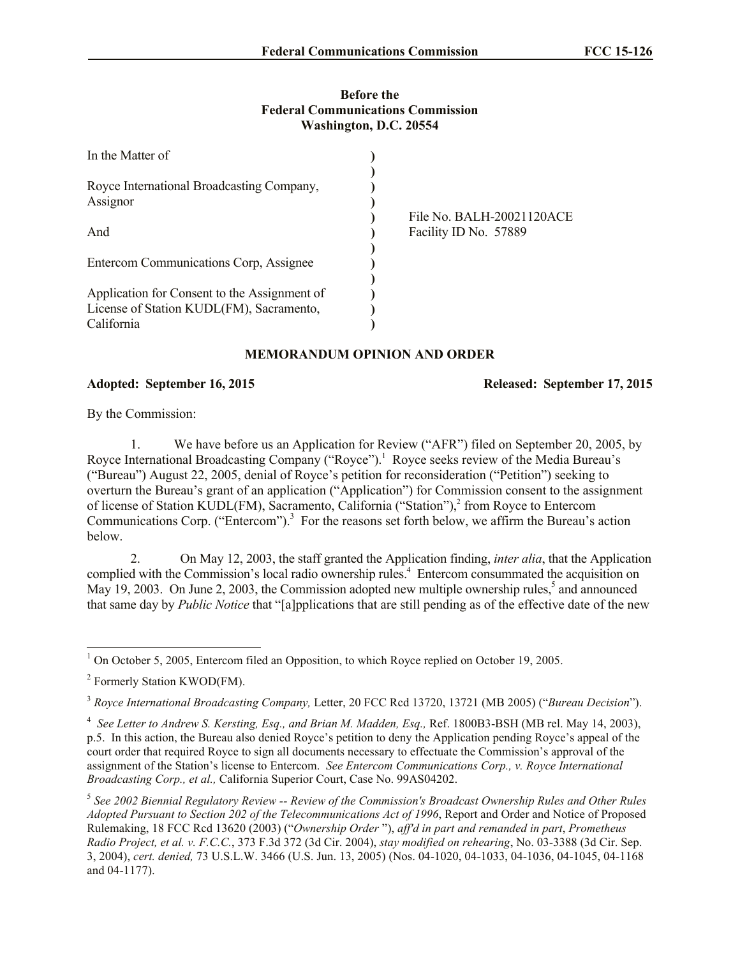## **Before the Federal Communications Commission Washington, D.C. 20554**

| In the Matter of                             |                           |
|----------------------------------------------|---------------------------|
|                                              |                           |
| Royce International Broadcasting Company,    |                           |
| Assignor                                     |                           |
|                                              | File No. BALH-20021120ACE |
| And                                          | Facility ID No. 57889     |
|                                              |                           |
| Entercom Communications Corp, Assignee       |                           |
|                                              |                           |
| Application for Consent to the Assignment of |                           |
| License of Station KUDL(FM), Sacramento,     |                           |
| California                                   |                           |

## **MEMORANDUM OPINION AND ORDER**

## **Adopted: September 16, 2015 Released: September 17, 2015**

By the Commission:

1. We have before us an Application for Review ("AFR") filed on September 20, 2005, by Royce International Broadcasting Company ("Royce").<sup>1</sup> Royce seeks review of the Media Bureau's ("Bureau") August 22, 2005, denial of Royce's petition for reconsideration ("Petition") seeking to overturn the Bureau's grant of an application ("Application") for Commission consent to the assignment of license of Station KUDL(FM), Sacramento, California ("Station"),<sup>2</sup> from Royce to Entercom Communications Corp. ("Entercom").<sup>3</sup> For the reasons set forth below, we affirm the Bureau's action below.

2. On May 12, 2003, the staff granted the Application finding, *inter alia*, that the Application complied with the Commission's local radio ownership rules.<sup>4</sup> Entercom consummated the acquisition on May 19, 2003. On June 2, 2003, the Commission adopted new multiple ownership rules,<sup>5</sup> and announced that same day by *Public Notice* that "[a]pplications that are still pending as of the effective date of the new

l  $1$  On October 5, 2005, Entercom filed an Opposition, to which Royce replied on October 19, 2005.

<sup>&</sup>lt;sup>2</sup> Formerly Station KWOD(FM).

<sup>3</sup> *Royce International Broadcasting Company,* Letter, 20 FCC Rcd 13720, 13721 (MB 2005) ("*Bureau Decision*").

<sup>4</sup> *See Letter to Andrew S. Kersting, Esq., and Brian M. Madden, Esq.,* Ref. 1800B3-BSH (MB rel. May 14, 2003), p.5. In this action, the Bureau also denied Royce's petition to deny the Application pending Royce's appeal of the court order that required Royce to sign all documents necessary to effectuate the Commission's approval of the assignment of the Station's license to Entercom. *See Entercom Communications Corp., v. Royce International Broadcasting Corp., et al.,* California Superior Court, Case No. 99AS04202.

<sup>5</sup> *See 2002 Biennial Regulatory Review -- Review of the Commission's Broadcast Ownership Rules and Other Rules Adopted Pursuant to Section 202 of the Telecommunications Act of 1996*, Report and Order and Notice of Proposed Rulemaking, 18 FCC Rcd 13620 (2003) ("*Ownership Order* "), *aff'd in part and remanded in part*, *Prometheus Radio Project, et al. v. F.C.C.*, 373 F.3d 372 (3d Cir. 2004), *stay modified on rehearing*, No. 03-3388 (3d Cir. Sep. 3, 2004), *cert. denied,* 73 U.S.L.W. 3466 (U.S. Jun. 13, 2005) (Nos. 04-1020, 04-1033, 04-1036, 04-1045, 04-1168 and 04-1177).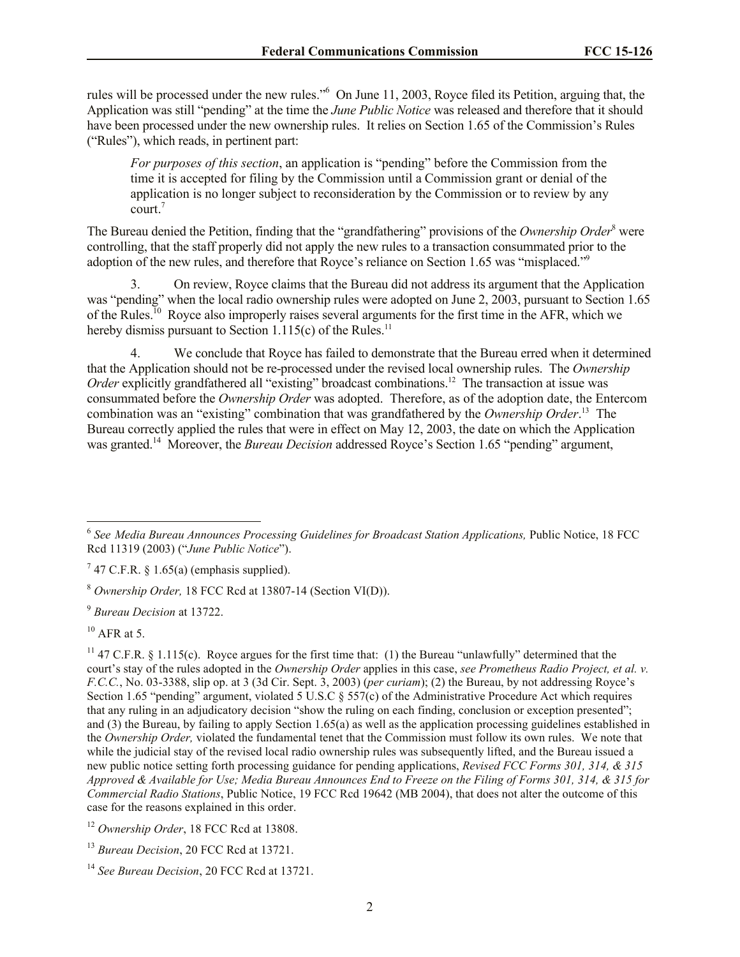rules will be processed under the new rules."<sup>6</sup> On June 11, 2003, Royce filed its Petition, arguing that, the Application was still "pending" at the time the *June Public Notice* was released and therefore that it should have been processed under the new ownership rules. It relies on Section 1.65 of the Commission's Rules ("Rules"), which reads, in pertinent part:

*For purposes of this section*, an application is "pending" before the Commission from the time it is accepted for filing by the Commission until a Commission grant or denial of the application is no longer subject to reconsideration by the Commission or to review by any court.<sup>7</sup>

The Bureau denied the Petition, finding that the "grandfathering" provisions of the *Ownership Order*<sup>8</sup> were controlling, that the staff properly did not apply the new rules to a transaction consummated prior to the adoption of the new rules, and therefore that Royce's reliance on Section 1.65 was "misplaced."<sup>9</sup>

3. On review, Royce claims that the Bureau did not address its argument that the Application was "pending" when the local radio ownership rules were adopted on June 2, 2003, pursuant to Section 1.65 of the Rules.<sup>10</sup> Royce also improperly raises several arguments for the first time in the AFR, which we hereby dismiss pursuant to Section  $1.115(c)$  of the Rules.<sup>11</sup>

4. We conclude that Royce has failed to demonstrate that the Bureau erred when it determined that the Application should not be re-processed under the revised local ownership rules. The *Ownership*  Order explicitly grandfathered all "existing" broadcast combinations.<sup>12</sup> The transaction at issue was consummated before the *Ownership Order* was adopted. Therefore, as of the adoption date, the Entercom combination was an "existing" combination that was grandfathered by the *Ownership Order*. 13 The Bureau correctly applied the rules that were in effect on May 12, 2003, the date on which the Application was granted.<sup>14</sup> Moreover, the *Bureau Decision* addressed Royce's Section 1.65 "pending" argument,

<sup>9</sup> *Bureau Decision* at 13722.

<sup>11</sup> 47 C.F.R. § 1.115(c). Royce argues for the first time that: (1) the Bureau "unlawfully" determined that the court's stay of the rules adopted in the *Ownership Order* applies in this case, *see Prometheus Radio Project, et al. v. F.C.C.*, No. 03-3388, slip op. at 3 (3d Cir. Sept. 3, 2003) (*per curiam*); (2) the Bureau, by not addressing Royce's Section 1.65 "pending" argument, violated 5 U.S.C § 557(c) of the Administrative Procedure Act which requires that any ruling in an adjudicatory decision "show the ruling on each finding, conclusion or exception presented"; and (3) the Bureau, by failing to apply Section 1.65(a) as well as the application processing guidelines established in the *Ownership Order,* violated the fundamental tenet that the Commission must follow its own rules. We note that while the judicial stay of the revised local radio ownership rules was subsequently lifted, and the Bureau issued a new public notice setting forth processing guidance for pending applications, *Revised FCC Forms 301, 314, & 315 Approved & Available for Use; Media Bureau Announces End to Freeze on the Filing of Forms 301, 314, & 315 for Commercial Radio Stations*, Public Notice, 19 FCC Rcd 19642 (MB 2004), that does not alter the outcome of this case for the reasons explained in this order.

<sup>&</sup>lt;sup>6</sup> See Media Bureau Announces Processing Guidelines for Broadcast Station Applications, Public Notice, 18 FCC Rcd 11319 (2003) ("*June Public Notice*").

 $7$  47 C.F.R. § 1.65(a) (emphasis supplied).

<sup>8</sup> *Ownership Order,* 18 FCC Rcd at 13807-14 (Section VI(D)).

 $10$  AFR at 5.

<sup>&</sup>lt;sup>12</sup> Ownership Order, 18 FCC Rcd at 13808.

<sup>13</sup> *Bureau Decision*, 20 FCC Rcd at 13721.

<sup>14</sup> *See Bureau Decision*, 20 FCC Rcd at 13721.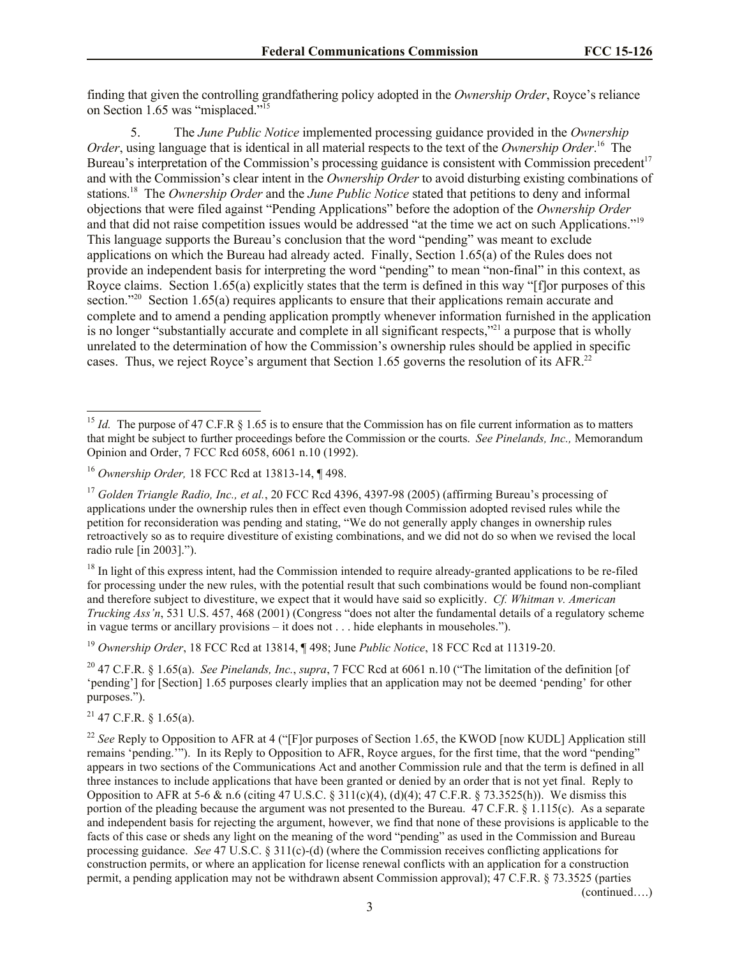finding that given the controlling grandfathering policy adopted in the *Ownership Order*, Royce's reliance on Section 1.65 was "misplaced."<sup>15</sup>

5. The *June Public Notice* implemented processing guidance provided in the *Ownership Order*, using language that is identical in all material respects to the text of the *Ownership Order*. 16 The Bureau's interpretation of the Commission's processing guidance is consistent with Commission precedent<sup>17</sup> and with the Commission's clear intent in the *Ownership Order* to avoid disturbing existing combinations of stations.<sup>18</sup> The *Ownership Order* and the *June Public Notice* stated that petitions to deny and informal objections that were filed against "Pending Applications" before the adoption of the *Ownership Order*  and that did not raise competition issues would be addressed "at the time we act on such Applications."<sup>19</sup> This language supports the Bureau's conclusion that the word "pending" was meant to exclude applications on which the Bureau had already acted. Finally, Section 1.65(a) of the Rules does not provide an independent basis for interpreting the word "pending" to mean "non-final" in this context, as Royce claims. Section 1.65(a) explicitly states that the term is defined in this way "[f]or purposes of this section."<sup>20</sup> Section 1.65(a) requires applicants to ensure that their applications remain accurate and complete and to amend a pending application promptly whenever information furnished in the application is no longer "substantially accurate and complete in all significant respects,"<sup>21</sup> a purpose that is wholly unrelated to the determination of how the Commission's ownership rules should be applied in specific cases. Thus, we reject Royce's argument that Section 1.65 governs the resolution of its AFR.<sup>22</sup>

<sup>19</sup> *Ownership Order*, 18 FCC Rcd at 13814, ¶ 498; June *Public Notice*, 18 FCC Rcd at 11319-20.

<sup>20</sup> 47 C.F.R. § 1.65(a). *See Pinelands, Inc.*, *supra*, 7 FCC Rcd at 6061 n.10 ("The limitation of the definition [of 'pending'] for [Section] 1.65 purposes clearly implies that an application may not be deemed 'pending' for other purposes.").

 $^{21}$  47 C.F.R. § 1.65(a).

l

(continued….)

<sup>&</sup>lt;sup>15</sup> *Id.* The purpose of 47 C.F.R  $\S$  1.65 is to ensure that the Commission has on file current information as to matters that might be subject to further proceedings before the Commission or the courts. *See Pinelands, Inc.,* Memorandum Opinion and Order, 7 FCC Rcd 6058, 6061 n.10 (1992).

<sup>16</sup> *Ownership Order,* 18 FCC Rcd at 13813-14, ¶ 498.

<sup>&</sup>lt;sup>17</sup> Golden Triangle Radio, Inc., et al., 20 FCC Rcd 4396, 4397-98 (2005) (affirming Bureau's processing of applications under the ownership rules then in effect even though Commission adopted revised rules while the petition for reconsideration was pending and stating, "We do not generally apply changes in ownership rules retroactively so as to require divestiture of existing combinations, and we did not do so when we revised the local radio rule [in 2003].").

<sup>&</sup>lt;sup>18</sup> In light of this express intent, had the Commission intended to require already-granted applications to be re-filed for processing under the new rules, with the potential result that such combinations would be found non-compliant and therefore subject to divestiture, we expect that it would have said so explicitly. *Cf. Whitman v. American Trucking Ass'n*, 531 U.S. 457, 468 (2001) (Congress "does not alter the fundamental details of a regulatory scheme in vague terms or ancillary provisions – it does not . . . hide elephants in mouseholes.").

<sup>&</sup>lt;sup>22</sup> See Reply to Opposition to AFR at 4 ("[F]or purposes of Section 1.65, the KWOD [now KUDL] Application still remains 'pending.'"). In its Reply to Opposition to AFR, Royce argues, for the first time, that the word "pending" appears in two sections of the Communications Act and another Commission rule and that the term is defined in all three instances to include applications that have been granted or denied by an order that is not yet final. Reply to Opposition to AFR at 5-6 & n.6 (citing 47 U.S.C. § 311(c)(4), (d)(4); 47 C.F.R. § 73.3525(h)). We dismiss this portion of the pleading because the argument was not presented to the Bureau. 47 C.F.R. § 1.115(c). As a separate and independent basis for rejecting the argument, however, we find that none of these provisions is applicable to the facts of this case or sheds any light on the meaning of the word "pending" as used in the Commission and Bureau processing guidance. *See* 47 U.S.C. § 311(c)-(d) (where the Commission receives conflicting applications for construction permits, or where an application for license renewal conflicts with an application for a construction permit, a pending application may not be withdrawn absent Commission approval); 47 C.F.R. § 73.3525 (parties